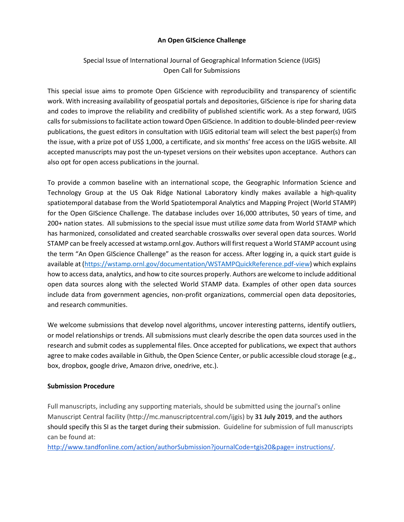## **An Open GIScience Challenge**

# Special Issue of International Journal of Geographical Information Science (IJGIS) Open Call for Submissions

This special issue aims to promote Open GIScience with reproducibility and transparency of scientific work. With increasing availability of geospatial portals and depositories, GIScience is ripe for sharing data and codes to improve the reliability and credibility of published scientific work. As a step forward, IJGIS calls for submissions to facilitate action toward Open GIScience. In addition to double-blinded peer-review publications, the guest editors in consultation with IJGIS editorial team will select the best paper(s) from the issue, with a prize pot of US\$ 1,000, a certificate, and six months' free access on the IJGIS website. All accepted manuscripts may post the un-typeset versions on their websites upon acceptance. Authors can also opt for open access publications in the journal.

To provide a common baseline with an international scope, the Geographic Information Science and Technology Group at the US Oak Ridge National Laboratory kindly makes available a high-quality spatiotemporal database from the World Spatiotemporal Analytics and Mapping Project (World STAMP) for the Open GIScience Challenge. The database includes over 16,000 attributes, 50 years of time, and 200+ nation states. All submissions to the special issue must utilize *some* data from World STAMP which has harmonized, consolidated and created searchable crosswalks over several open data sources. World STAMP can be freely accessed at wstamp.ornl.gov. Authors will first request a World STAMP account using the term "An Open GIScience Challenge" as the reason for access. After logging in, a quick start guide is available at [\(https://wstamp.ornl.gov/documentation/WSTAMPQuickReference.pdf-view\)](https://wstamp.ornl.gov/documentation/WSTAMPQuickReference.pdf-view) which explains how to access data, analytics, and how to cite sources properly. Authors are welcome to include additional open data sources along with the selected World STAMP data. Examples of other open data sources include data from government agencies, non-profit organizations, commercial open data depositories, and research communities.

We welcome submissions that develop novel algorithms, uncover interesting patterns, identify outliers, or model relationships or trends. All submissions must clearly describe the open data sources used in the research and submit codes as supplemental files. Once accepted for publications, we expect that authors agree to make codes available in Github, the Open Science Center, or public accessible cloud storage (e.g., box, dropbox, google drive, Amazon drive, onedrive, etc.).

## **Submission Procedure**

Full manuscripts, including any supporting materials, should be submitted using the journal's online Manuscript Central facility (http://mc.manuscriptcentral.com/ijgis) by **31 July 2019**, and the authors should specify this SI as the target during their submission. Guideline for submission of full manuscripts can be found at:

[http://www.tandfonline.com/action/authorSubmission?journalCode=tgis20&page= instructions/.](http://www.tandfonline.com/action/authorSubmission?journalCode=tgis20&page=%20instructions/)